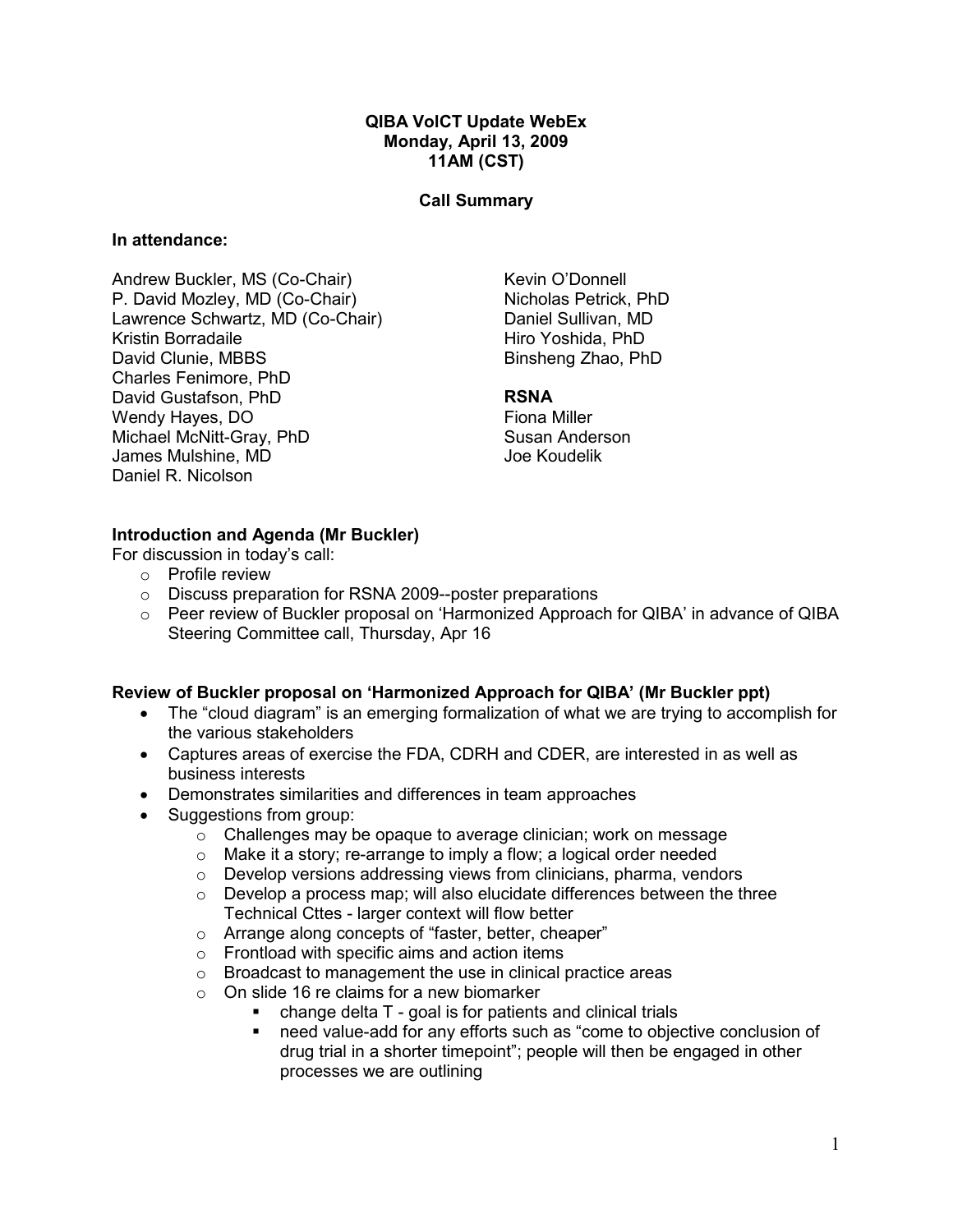### QIBA VolCT Update WebEx Monday, April 13, 2009 11AM (CST)

### Call Summary

#### In attendance:

Andrew Buckler, MS (Co-Chair) P. David Mozley, MD (Co-Chair) Lawrence Schwartz, MD (Co-Chair) Kristin Borradaile David Clunie, MBBS Charles Fenimore, PhD David Gustafson, PhD Wendy Hayes, DO Michael McNitt-Gray, PhD James Mulshine, MD Daniel R. Nicolson

Kevin O'Donnell Nicholas Petrick, PhD Daniel Sullivan, MD Hiro Yoshida, PhD Binsheng Zhao, PhD

#### RSNA

Fiona Miller Susan Anderson Joe Koudelik

## Introduction and Agenda (Mr Buckler)

For discussion in today's call:

- o Profile review
- o Discuss preparation for RSNA 2009--poster preparations
- o Peer review of Buckler proposal on 'Harmonized Approach for QIBA' in advance of QIBA Steering Committee call, Thursday, Apr 16

### Review of Buckler proposal on 'Harmonized Approach for QIBA' (Mr Buckler ppt)

- The "cloud diagram" is an emerging formalization of what we are trying to accomplish for the various stakeholders
- Captures areas of exercise the FDA, CDRH and CDER, are interested in as well as business interests
- Demonstrates similarities and differences in team approaches
- Suggestions from group:
	- o Challenges may be opaque to average clinician; work on message
	- o Make it a story; re-arrange to imply a flow; a logical order needed
	- $\circ$  Develop versions addressing views from clinicians, pharma, vendors
	- $\circ$  Develop a process map; will also elucidate differences between the three Technical Cttes - larger context will flow better
	- o Arrange along concepts of "faster, better, cheaper"
	- o Frontload with specific aims and action items
	- o Broadcast to management the use in clinical practice areas
	- o On slide 16 re claims for a new biomarker
		- change delta T goal is for patients and clinical trials
		- need value-add for any efforts such as "come to objective conclusion of drug trial in a shorter timepoint"; people will then be engaged in other processes we are outlining